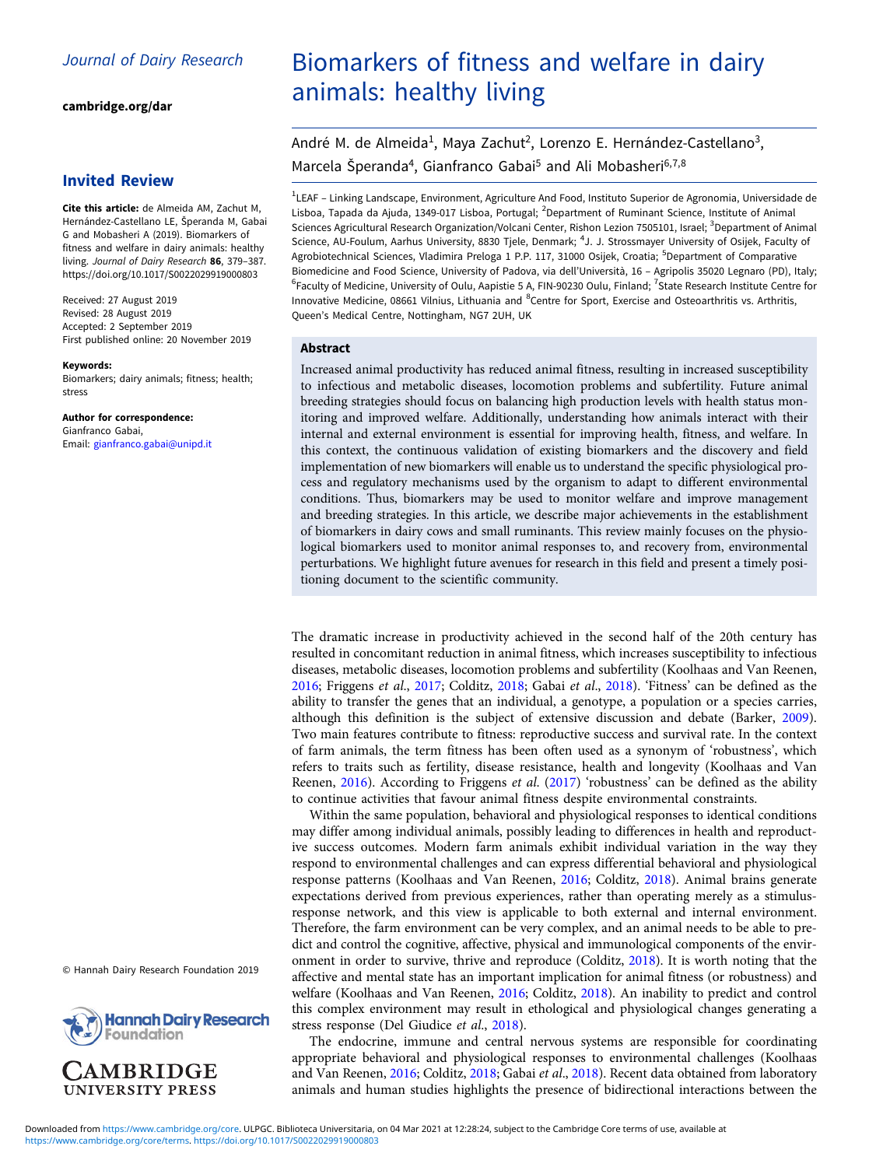[cambridge.org/dar](https://www.cambridge.org/dar)

## Invited Review

Cite this article: de Almeida AM, Zachut M, Hernández-Castellano LE, Šperanda M, Gabai G and Mobasheri A (2019). Biomarkers of fitness and welfare in dairy animals: healthy living. Journal of Dairy Research 86, 379–387. <https://doi.org/10.1017/S0022029919000803>

Received: 27 August 2019 Revised: 28 August 2019 Accepted: 2 September 2019 First published online: 20 November 2019

#### Keywords:

Biomarkers; dairy animals; fitness; health; stress

Author for correspondence: Gianfranco Gabai, Email: [gianfranco.gabai@unipd.it](mailto:gianfranco.gabai@unipd.it)

© Hannah Dairy Research Foundation 2019



**AMBRIDGE UNIVERSITY PRESS** 

# Biomarkers of fitness and welfare in dairy animals: healthy living

André M. de Almeida<sup>1</sup>, Maya Zachut<sup>2</sup>, Lorenzo E. Hernández-Castellano<sup>3</sup>, Marcela Šperanda<sup>4</sup>, Gianfranco Gabai<sup>5</sup> and Ali Mobasheri<sup>6,7,8</sup>

<sup>1</sup>LEAF – Linking Landscape, Environment, Agriculture And Food, Instituto Superior de Agronomia, Universidade de Lisboa, Tapada da Ajuda, 1349-017 Lisboa, Portugal; <sup>2</sup>Department of Ruminant Science, Institute of Animal Sciences Agricultural Research Organization/Volcani Center, Rishon Lezion 7505101, Israel; <sup>3</sup>Department of Animal Science, AU-Foulum, Aarhus University, 8830 Tjele, Denmark; <sup>4</sup>J. J. Strossmayer University of Osijek, Faculty of Agrobiotechnical Sciences, Vladimira Preloga 1 P.P. 117, 31000 Osijek, Croatia; <sup>5</sup>Department of Comparative Biomedicine and Food Science, University of Padova, via dell'Università, 16 – Agripolis 35020 Legnaro (PD), Italy; <sup>6</sup>Faculty of Medicine, University of Oulu, Aapistie 5 A, FIN-90230 Oulu, Finland; <sup>7</sup>State Research Institute Centre for Innovative Medicine, 08661 Vilnius, Lithuania and <sup>8</sup>Centre for Sport, Exercise and Osteoarthritis vs. Arthritis, Queen's Medical Centre, Nottingham, NG7 2UH, UK

#### **Abstract**

Increased animal productivity has reduced animal fitness, resulting in increased susceptibility to infectious and metabolic diseases, locomotion problems and subfertility. Future animal breeding strategies should focus on balancing high production levels with health status monitoring and improved welfare. Additionally, understanding how animals interact with their internal and external environment is essential for improving health, fitness, and welfare. In this context, the continuous validation of existing biomarkers and the discovery and field implementation of new biomarkers will enable us to understand the specific physiological process and regulatory mechanisms used by the organism to adapt to different environmental conditions. Thus, biomarkers may be used to monitor welfare and improve management and breeding strategies. In this article, we describe major achievements in the establishment of biomarkers in dairy cows and small ruminants. This review mainly focuses on the physiological biomarkers used to monitor animal responses to, and recovery from, environmental perturbations. We highlight future avenues for research in this field and present a timely positioning document to the scientific community.

The dramatic increase in productivity achieved in the second half of the 20th century has resulted in concomitant reduction in animal fitness, which increases susceptibility to infectious diseases, metabolic diseases, locomotion problems and subfertility (Koolhaas and Van Reenen, [2016;](#page-7-0) Friggens et al., [2017](#page-6-0); Colditz, [2018;](#page-6-0) Gabai et al., [2018](#page-7-0)). 'Fitness' can be defined as the ability to transfer the genes that an individual, a genotype, a population or a species carries, although this definition is the subject of extensive discussion and debate (Barker, [2009](#page-6-0)). Two main features contribute to fitness: reproductive success and survival rate. In the context of farm animals, the term fitness has been often used as a synonym of 'robustness', which refers to traits such as fertility, disease resistance, health and longevity (Koolhaas and Van Reenen, [2016\)](#page-7-0). According to Friggens et al. ([2017\)](#page-6-0) 'robustness' can be defined as the ability to continue activities that favour animal fitness despite environmental constraints.

Within the same population, behavioral and physiological responses to identical conditions may differ among individual animals, possibly leading to differences in health and reproductive success outcomes. Modern farm animals exhibit individual variation in the way they respond to environmental challenges and can express differential behavioral and physiological response patterns (Koolhaas and Van Reenen, [2016;](#page-7-0) Colditz, [2018](#page-6-0)). Animal brains generate expectations derived from previous experiences, rather than operating merely as a stimulusresponse network, and this view is applicable to both external and internal environment. Therefore, the farm environment can be very complex, and an animal needs to be able to predict and control the cognitive, affective, physical and immunological components of the environment in order to survive, thrive and reproduce (Colditz, [2018\)](#page-6-0). It is worth noting that the affective and mental state has an important implication for animal fitness (or robustness) and welfare (Koolhaas and Van Reenen, [2016](#page-7-0); Colditz, [2018](#page-6-0)). An inability to predict and control this complex environment may result in ethological and physiological changes generating a stress response (Del Giudice et al., [2018\)](#page-6-0).

The endocrine, immune and central nervous systems are responsible for coordinating appropriate behavioral and physiological responses to environmental challenges (Koolhaas and Van Reenen, [2016](#page-7-0); Colditz, [2018;](#page-6-0) Gabai et al., [2018](#page-7-0)). Recent data obtained from laboratory animals and human studies highlights the presence of bidirectional interactions between the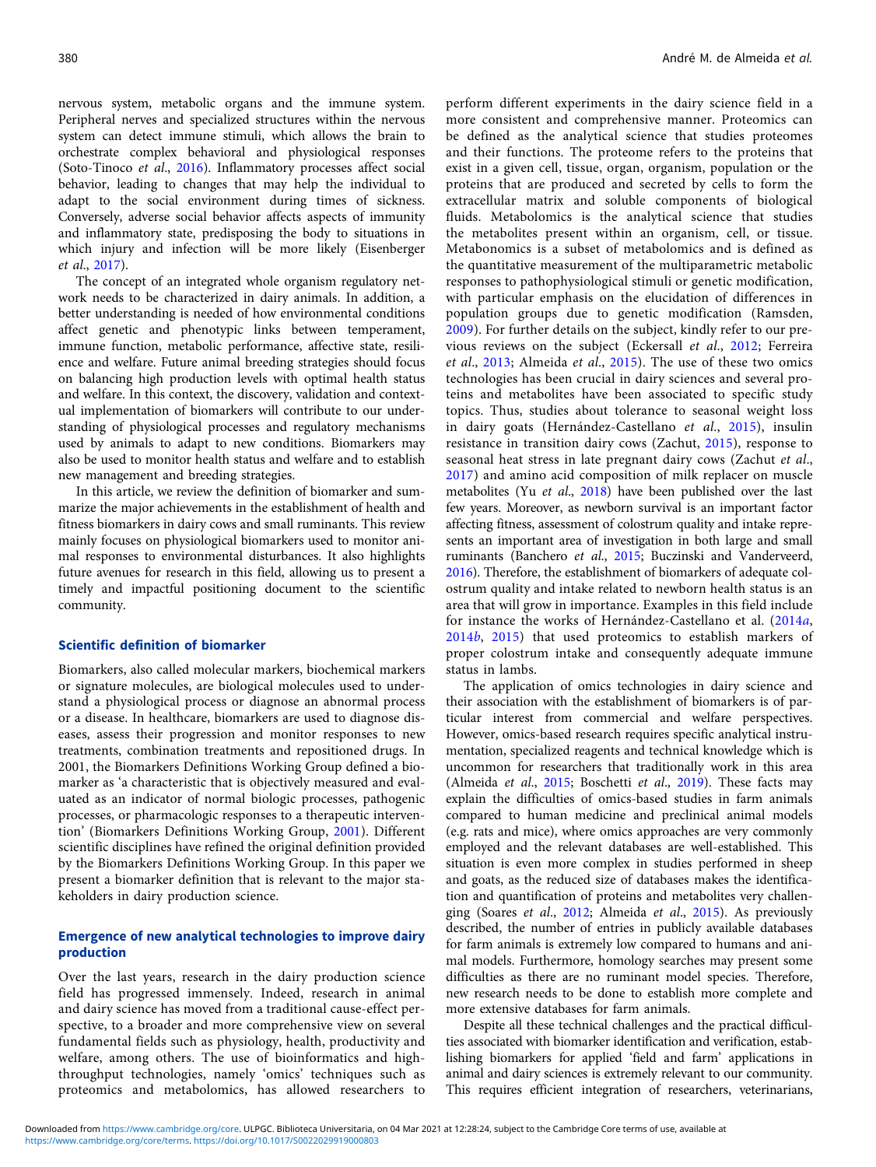nervous system, metabolic organs and the immune system. Peripheral nerves and specialized structures within the nervous system can detect immune stimuli, which allows the brain to orchestrate complex behavioral and physiological responses (Soto-Tinoco et al., [2016](#page-8-0)). Inflammatory processes affect social behavior, leading to changes that may help the individual to adapt to the social environment during times of sickness. Conversely, adverse social behavior affects aspects of immunity and inflammatory state, predisposing the body to situations in which injury and infection will be more likely (Eisenberger et al., [2017\)](#page-6-0).

The concept of an integrated whole organism regulatory network needs to be characterized in dairy animals. In addition, a better understanding is needed of how environmental conditions affect genetic and phenotypic links between temperament, immune function, metabolic performance, affective state, resilience and welfare. Future animal breeding strategies should focus on balancing high production levels with optimal health status and welfare. In this context, the discovery, validation and contextual implementation of biomarkers will contribute to our understanding of physiological processes and regulatory mechanisms used by animals to adapt to new conditions. Biomarkers may also be used to monitor health status and welfare and to establish new management and breeding strategies.

In this article, we review the definition of biomarker and summarize the major achievements in the establishment of health and fitness biomarkers in dairy cows and small ruminants. This review mainly focuses on physiological biomarkers used to monitor animal responses to environmental disturbances. It also highlights future avenues for research in this field, allowing us to present a timely and impactful positioning document to the scientific community.

## Scientific definition of biomarker

Biomarkers, also called molecular markers, biochemical markers or signature molecules, are biological molecules used to understand a physiological process or diagnose an abnormal process or a disease. In healthcare, biomarkers are used to diagnose diseases, assess their progression and monitor responses to new treatments, combination treatments and repositioned drugs. In 2001, the Biomarkers Definitions Working Group defined a biomarker as 'a characteristic that is objectively measured and evaluated as an indicator of normal biologic processes, pathogenic processes, or pharmacologic responses to a therapeutic intervention' (Biomarkers Definitions Working Group, [2001](#page-6-0)). Different scientific disciplines have refined the original definition provided by the Biomarkers Definitions Working Group. In this paper we present a biomarker definition that is relevant to the major stakeholders in dairy production science.

## Emergence of new analytical technologies to improve dairy production

Over the last years, research in the dairy production science field has progressed immensely. Indeed, research in animal and dairy science has moved from a traditional cause-effect perspective, to a broader and more comprehensive view on several fundamental fields such as physiology, health, productivity and welfare, among others. The use of bioinformatics and highthroughput technologies, namely 'omics' techniques such as proteomics and metabolomics, has allowed researchers to perform different experiments in the dairy science field in a more consistent and comprehensive manner. Proteomics can be defined as the analytical science that studies proteomes and their functions. The proteome refers to the proteins that exist in a given cell, tissue, organ, organism, population or the proteins that are produced and secreted by cells to form the extracellular matrix and soluble components of biological fluids. Metabolomics is the analytical science that studies the metabolites present within an organism, cell, or tissue. Metabonomics is a subset of metabolomics and is defined as the quantitative measurement of the multiparametric metabolic responses to pathophysiological stimuli or genetic modification, with particular emphasis on the elucidation of differences in population groups due to genetic modification (Ramsden, [2009](#page-7-0)). For further details on the subject, kindly refer to our previous reviews on the subject (Eckersall et al., [2012;](#page-6-0) Ferreira et al., [2013](#page-6-0); Almeida et al., [2015\)](#page-6-0). The use of these two omics technologies has been crucial in dairy sciences and several proteins and metabolites have been associated to specific study topics. Thus, studies about tolerance to seasonal weight loss in dairy goats (Hernández-Castellano et al., [2015](#page-7-0)), insulin resistance in transition dairy cows (Zachut, [2015](#page-8-0)), response to seasonal heat stress in late pregnant dairy cows (Zachut et al., [2017](#page-8-0)) and amino acid composition of milk replacer on muscle metabolites (Yu et al., [2018\)](#page-8-0) have been published over the last few years. Moreover, as newborn survival is an important factor affecting fitness, assessment of colostrum quality and intake represents an important area of investigation in both large and small ruminants (Banchero et al., [2015;](#page-6-0) Buczinski and Vanderveerd, [2016](#page-6-0)). Therefore, the establishment of biomarkers of adequate colostrum quality and intake related to newborn health status is an area that will grow in importance. Examples in this field include for instance the works of Hernández-Castellano et al. ([2014](#page-7-0)a, [2014](#page-7-0)b, [2015](#page-7-0)) that used proteomics to establish markers of proper colostrum intake and consequently adequate immune status in lambs.

The application of omics technologies in dairy science and their association with the establishment of biomarkers is of particular interest from commercial and welfare perspectives. However, omics-based research requires specific analytical instrumentation, specialized reagents and technical knowledge which is uncommon for researchers that traditionally work in this area (Almeida et al., [2015](#page-6-0); Boschetti et al., [2019\)](#page-6-0). These facts may explain the difficulties of omics-based studies in farm animals compared to human medicine and preclinical animal models (e.g. rats and mice), where omics approaches are very commonly employed and the relevant databases are well-established. This situation is even more complex in studies performed in sheep and goats, as the reduced size of databases makes the identification and quantification of proteins and metabolites very challenging (Soares et al., [2012](#page-8-0); Almeida et al., [2015](#page-6-0)). As previously described, the number of entries in publicly available databases for farm animals is extremely low compared to humans and animal models. Furthermore, homology searches may present some difficulties as there are no ruminant model species. Therefore, new research needs to be done to establish more complete and more extensive databases for farm animals.

Despite all these technical challenges and the practical difficulties associated with biomarker identification and verification, establishing biomarkers for applied 'field and farm' applications in animal and dairy sciences is extremely relevant to our community. This requires efficient integration of researchers, veterinarians,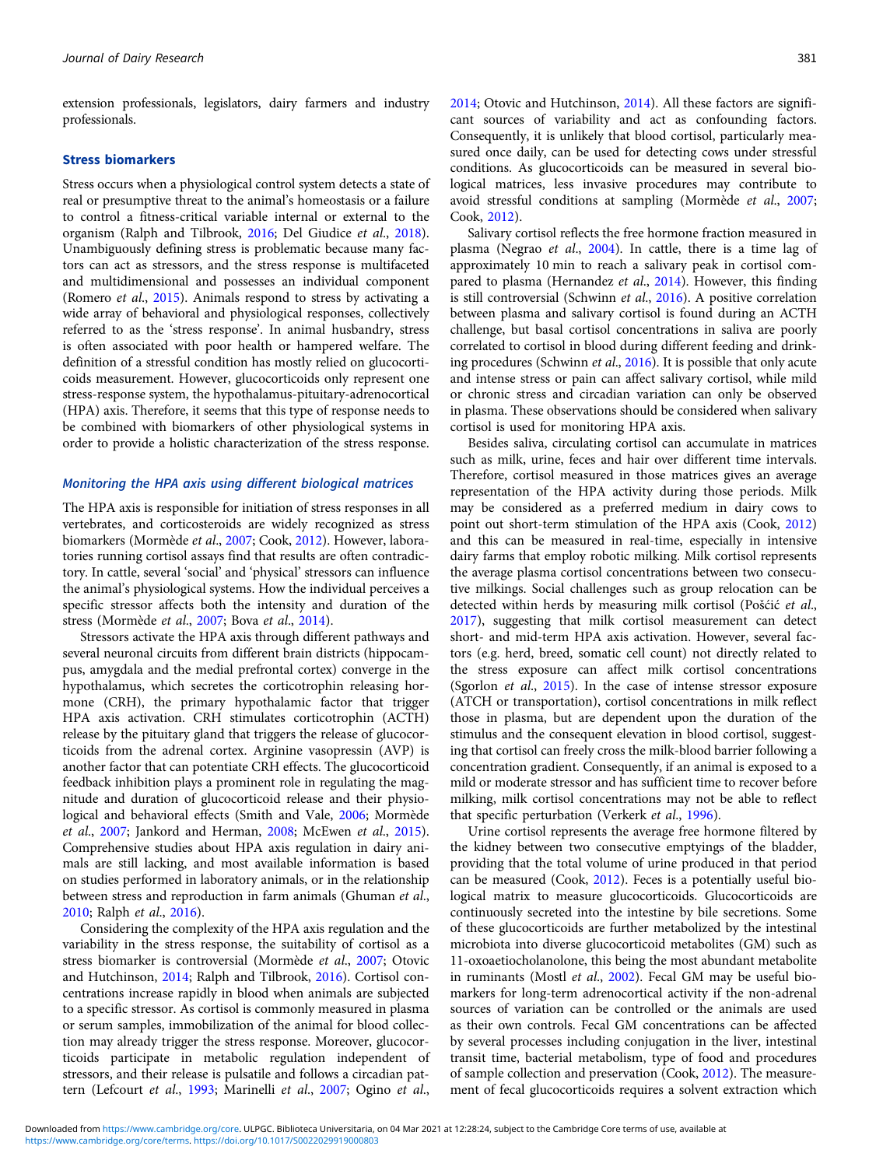extension professionals, legislators, dairy farmers and industry professionals.

## Stress biomarkers

Stress occurs when a physiological control system detects a state of real or presumptive threat to the animal's homeostasis or a failure to control a fitness-critical variable internal or external to the organism (Ralph and Tilbrook, [2016](#page-7-0); Del Giudice et al., [2018\)](#page-6-0). Unambiguously defining stress is problematic because many factors can act as stressors, and the stress response is multifaceted and multidimensional and possesses an individual component (Romero et al., [2015](#page-8-0)). Animals respond to stress by activating a wide array of behavioral and physiological responses, collectively referred to as the 'stress response'. In animal husbandry, stress is often associated with poor health or hampered welfare. The definition of a stressful condition has mostly relied on glucocorticoids measurement. However, glucocorticoids only represent one stress-response system, the hypothalamus-pituitary-adrenocortical (HPA) axis. Therefore, it seems that this type of response needs to be combined with biomarkers of other physiological systems in order to provide a holistic characterization of the stress response.

#### Monitoring the HPA axis using different biological matrices

The HPA axis is responsible for initiation of stress responses in all vertebrates, and corticosteroids are widely recognized as stress biomarkers (Mormède et al., [2007;](#page-7-0) Cook, [2012](#page-6-0)). However, laboratories running cortisol assays find that results are often contradictory. In cattle, several 'social' and 'physical' stressors can influence the animal's physiological systems. How the individual perceives a specific stressor affects both the intensity and duration of the stress (Mormède et al., [2007;](#page-7-0) Bova et al., [2014](#page-6-0)).

Stressors activate the HPA axis through different pathways and several neuronal circuits from different brain districts (hippocampus, amygdala and the medial prefrontal cortex) converge in the hypothalamus, which secretes the corticotrophin releasing hormone (CRH), the primary hypothalamic factor that trigger HPA axis activation. CRH stimulates corticotrophin (ACTH) release by the pituitary gland that triggers the release of glucocorticoids from the adrenal cortex. Arginine vasopressin (AVP) is another factor that can potentiate CRH effects. The glucocorticoid feedback inhibition plays a prominent role in regulating the magnitude and duration of glucocorticoid release and their physiological and behavioral effects (Smith and Vale, [2006;](#page-8-0) Mormède et al., [2007](#page-7-0); Jankord and Herman, [2008](#page-7-0); McEwen et al., [2015\)](#page-7-0). Comprehensive studies about HPA axis regulation in dairy animals are still lacking, and most available information is based on studies performed in laboratory animals, or in the relationship between stress and reproduction in farm animals (Ghuman et al., [2010;](#page-7-0) Ralph et al., [2016\)](#page-7-0).

Considering the complexity of the HPA axis regulation and the variability in the stress response, the suitability of cortisol as a stress biomarker is controversial (Mormède et al., [2007;](#page-7-0) Otovic and Hutchinson, [2014](#page-7-0); Ralph and Tilbrook, [2016\)](#page-7-0). Cortisol concentrations increase rapidly in blood when animals are subjected to a specific stressor. As cortisol is commonly measured in plasma or serum samples, immobilization of the animal for blood collection may already trigger the stress response. Moreover, glucocorticoids participate in metabolic regulation independent of stressors, and their release is pulsatile and follows a circadian pattern (Lefcourt et al., [1993;](#page-7-0) Marinelli et al., [2007;](#page-7-0) Ogino et al.,

[2014](#page-7-0); Otovic and Hutchinson, [2014](#page-7-0)). All these factors are significant sources of variability and act as confounding factors. Consequently, it is unlikely that blood cortisol, particularly measured once daily, can be used for detecting cows under stressful conditions. As glucocorticoids can be measured in several biological matrices, less invasive procedures may contribute to avoid stressful conditions at sampling (Mormède et al., [2007](#page-7-0); Cook, [2012\)](#page-6-0).

Salivary cortisol reflects the free hormone fraction measured in plasma (Negrao et al., [2004](#page-7-0)). In cattle, there is a time lag of approximately 10 min to reach a salivary peak in cortisol com-pared to plasma (Hernandez et al., [2014](#page-7-0)). However, this finding is still controversial (Schwinn et al., [2016](#page-8-0)). A positive correlation between plasma and salivary cortisol is found during an ACTH challenge, but basal cortisol concentrations in saliva are poorly correlated to cortisol in blood during different feeding and drinking procedures (Schwinn et al., [2016](#page-8-0)). It is possible that only acute and intense stress or pain can affect salivary cortisol, while mild or chronic stress and circadian variation can only be observed in plasma. These observations should be considered when salivary cortisol is used for monitoring HPA axis.

Besides saliva, circulating cortisol can accumulate in matrices such as milk, urine, feces and hair over different time intervals. Therefore, cortisol measured in those matrices gives an average representation of the HPA activity during those periods. Milk may be considered as a preferred medium in dairy cows to point out short-term stimulation of the HPA axis (Cook, [2012](#page-6-0)) and this can be measured in real-time, especially in intensive dairy farms that employ robotic milking. Milk cortisol represents the average plasma cortisol concentrations between two consecutive milkings. Social challenges such as group relocation can be detected within herds by measuring milk cortisol (Pošćić et al., [2017](#page-7-0)), suggesting that milk cortisol measurement can detect short- and mid-term HPA axis activation. However, several factors (e.g. herd, breed, somatic cell count) not directly related to the stress exposure can affect milk cortisol concentrations (Sgorlon et al., [2015\)](#page-8-0). In the case of intense stressor exposure (ATCH or transportation), cortisol concentrations in milk reflect those in plasma, but are dependent upon the duration of the stimulus and the consequent elevation in blood cortisol, suggesting that cortisol can freely cross the milk-blood barrier following a concentration gradient. Consequently, if an animal is exposed to a mild or moderate stressor and has sufficient time to recover before milking, milk cortisol concentrations may not be able to reflect that specific perturbation (Verkerk et al., [1996](#page-8-0)).

Urine cortisol represents the average free hormone filtered by the kidney between two consecutive emptyings of the bladder, providing that the total volume of urine produced in that period can be measured (Cook, [2012\)](#page-6-0). Feces is a potentially useful biological matrix to measure glucocorticoids. Glucocorticoids are continuously secreted into the intestine by bile secretions. Some of these glucocorticoids are further metabolized by the intestinal microbiota into diverse glucocorticoid metabolites (GM) such as 11-oxoaetiocholanolone, this being the most abundant metabolite in ruminants (Mostl et al., [2002\)](#page-7-0). Fecal GM may be useful biomarkers for long-term adrenocortical activity if the non-adrenal sources of variation can be controlled or the animals are used as their own controls. Fecal GM concentrations can be affected by several processes including conjugation in the liver, intestinal transit time, bacterial metabolism, type of food and procedures of sample collection and preservation (Cook, [2012\)](#page-6-0). The measurement of fecal glucocorticoids requires a solvent extraction which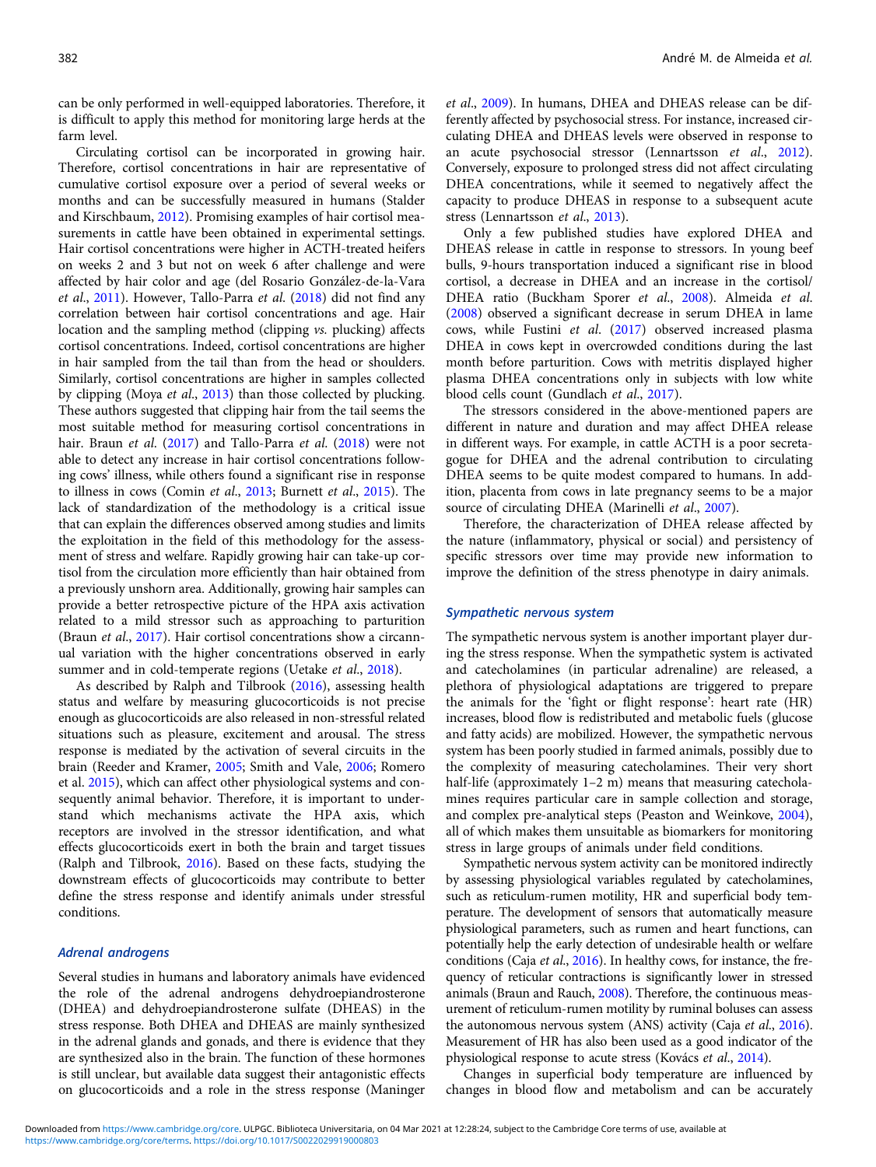can be only performed in well-equipped laboratories. Therefore, it is difficult to apply this method for monitoring large herds at the farm level.

Circulating cortisol can be incorporated in growing hair. Therefore, cortisol concentrations in hair are representative of cumulative cortisol exposure over a period of several weeks or months and can be successfully measured in humans (Stalder and Kirschbaum, [2012](#page-8-0)). Promising examples of hair cortisol measurements in cattle have been obtained in experimental settings. Hair cortisol concentrations were higher in ACTH-treated heifers on weeks 2 and 3 but not on week 6 after challenge and were affected by hair color and age (del Rosario González-de-la-Vara et al., [2011\)](#page-6-0). However, Tallo-Parra et al. ([2018\)](#page-8-0) did not find any correlation between hair cortisol concentrations and age. Hair location and the sampling method (clipping vs. plucking) affects cortisol concentrations. Indeed, cortisol concentrations are higher in hair sampled from the tail than from the head or shoulders. Similarly, cortisol concentrations are higher in samples collected by clipping (Moya et al., [2013\)](#page-7-0) than those collected by plucking. These authors suggested that clipping hair from the tail seems the most suitable method for measuring cortisol concentrations in hair. Braun *et al.* ([2017](#page-6-0)) and Tallo-Parra *et al.* ([2018](#page-8-0)) were not able to detect any increase in hair cortisol concentrations following cows' illness, while others found a significant rise in response to illness in cows (Comin et al., [2013](#page-6-0); Burnett et al., [2015\)](#page-6-0). The lack of standardization of the methodology is a critical issue that can explain the differences observed among studies and limits the exploitation in the field of this methodology for the assessment of stress and welfare. Rapidly growing hair can take-up cortisol from the circulation more efficiently than hair obtained from a previously unshorn area. Additionally, growing hair samples can provide a better retrospective picture of the HPA axis activation related to a mild stressor such as approaching to parturition (Braun et al., [2017\)](#page-6-0). Hair cortisol concentrations show a circannual variation with the higher concentrations observed in early summer and in cold-temperate regions (Uetake et al., [2018](#page-8-0)).

As described by Ralph and Tilbrook ([2016](#page-7-0)), assessing health status and welfare by measuring glucocorticoids is not precise enough as glucocorticoids are also released in non-stressful related situations such as pleasure, excitement and arousal. The stress response is mediated by the activation of several circuits in the brain (Reeder and Kramer, [2005;](#page-7-0) Smith and Vale, [2006;](#page-8-0) Romero et al. [2015](#page-8-0)), which can affect other physiological systems and consequently animal behavior. Therefore, it is important to understand which mechanisms activate the HPA axis, which receptors are involved in the stressor identification, and what effects glucocorticoids exert in both the brain and target tissues (Ralph and Tilbrook, [2016\)](#page-7-0). Based on these facts, studying the downstream effects of glucocorticoids may contribute to better define the stress response and identify animals under stressful conditions.

## Adrenal androgens

Several studies in humans and laboratory animals have evidenced the role of the adrenal androgens dehydroepiandrosterone (DHEA) and dehydroepiandrosterone sulfate (DHEAS) in the stress response. Both DHEA and DHEAS are mainly synthesized in the adrenal glands and gonads, and there is evidence that they are synthesized also in the brain. The function of these hormones is still unclear, but available data suggest their antagonistic effects on glucocorticoids and a role in the stress response (Maninger et al., [2009\)](#page-7-0). In humans, DHEA and DHEAS release can be differently affected by psychosocial stress. For instance, increased circulating DHEA and DHEAS levels were observed in response to an acute psychosocial stressor (Lennartsson et al., [2012](#page-7-0)). Conversely, exposure to prolonged stress did not affect circulating DHEA concentrations, while it seemed to negatively affect the capacity to produce DHEAS in response to a subsequent acute stress (Lennartsson et al., [2013](#page-7-0)).

Only a few published studies have explored DHEA and DHEAS release in cattle in response to stressors. In young beef bulls, 9-hours transportation induced a significant rise in blood cortisol, a decrease in DHEA and an increase in the cortisol/ DHEA ratio (Buckham Sporer et al., [2008\)](#page-6-0). Almeida et al. ([2008\)](#page-6-0) observed a significant decrease in serum DHEA in lame cows, while Fustini et al. [\(2017](#page-6-0)) observed increased plasma DHEA in cows kept in overcrowded conditions during the last month before parturition. Cows with metritis displayed higher plasma DHEA concentrations only in subjects with low white blood cells count (Gundlach et al., [2017\)](#page-7-0).

The stressors considered in the above-mentioned papers are different in nature and duration and may affect DHEA release in different ways. For example, in cattle ACTH is a poor secretagogue for DHEA and the adrenal contribution to circulating DHEA seems to be quite modest compared to humans. In addition, placenta from cows in late pregnancy seems to be a major source of circulating DHEA (Marinelli et al., [2007](#page-7-0)).

Therefore, the characterization of DHEA release affected by the nature (inflammatory, physical or social) and persistency of specific stressors over time may provide new information to improve the definition of the stress phenotype in dairy animals.

#### Sympathetic nervous system

The sympathetic nervous system is another important player during the stress response. When the sympathetic system is activated and catecholamines (in particular adrenaline) are released, a plethora of physiological adaptations are triggered to prepare the animals for the 'fight or flight response': heart rate (HR) increases, blood flow is redistributed and metabolic fuels (glucose and fatty acids) are mobilized. However, the sympathetic nervous system has been poorly studied in farmed animals, possibly due to the complexity of measuring catecholamines. Their very short half-life (approximately 1-2 m) means that measuring catecholamines requires particular care in sample collection and storage, and complex pre-analytical steps (Peaston and Weinkove, [2004](#page-7-0)), all of which makes them unsuitable as biomarkers for monitoring stress in large groups of animals under field conditions.

Sympathetic nervous system activity can be monitored indirectly by assessing physiological variables regulated by catecholamines, such as reticulum-rumen motility, HR and superficial body temperature. The development of sensors that automatically measure physiological parameters, such as rumen and heart functions, can potentially help the early detection of undesirable health or welfare conditions (Caja et al., [2016](#page-6-0)). In healthy cows, for instance, the frequency of reticular contractions is significantly lower in stressed animals (Braun and Rauch, [2008\)](#page-6-0). Therefore, the continuous measurement of reticulum-rumen motility by ruminal boluses can assess the autonomous nervous system (ANS) activity (Caja et al., [2016](#page-6-0)). Measurement of HR has also been used as a good indicator of the physiological response to acute stress (Kovács et al., [2014](#page-7-0)).

Changes in superficial body temperature are influenced by changes in blood flow and metabolism and can be accurately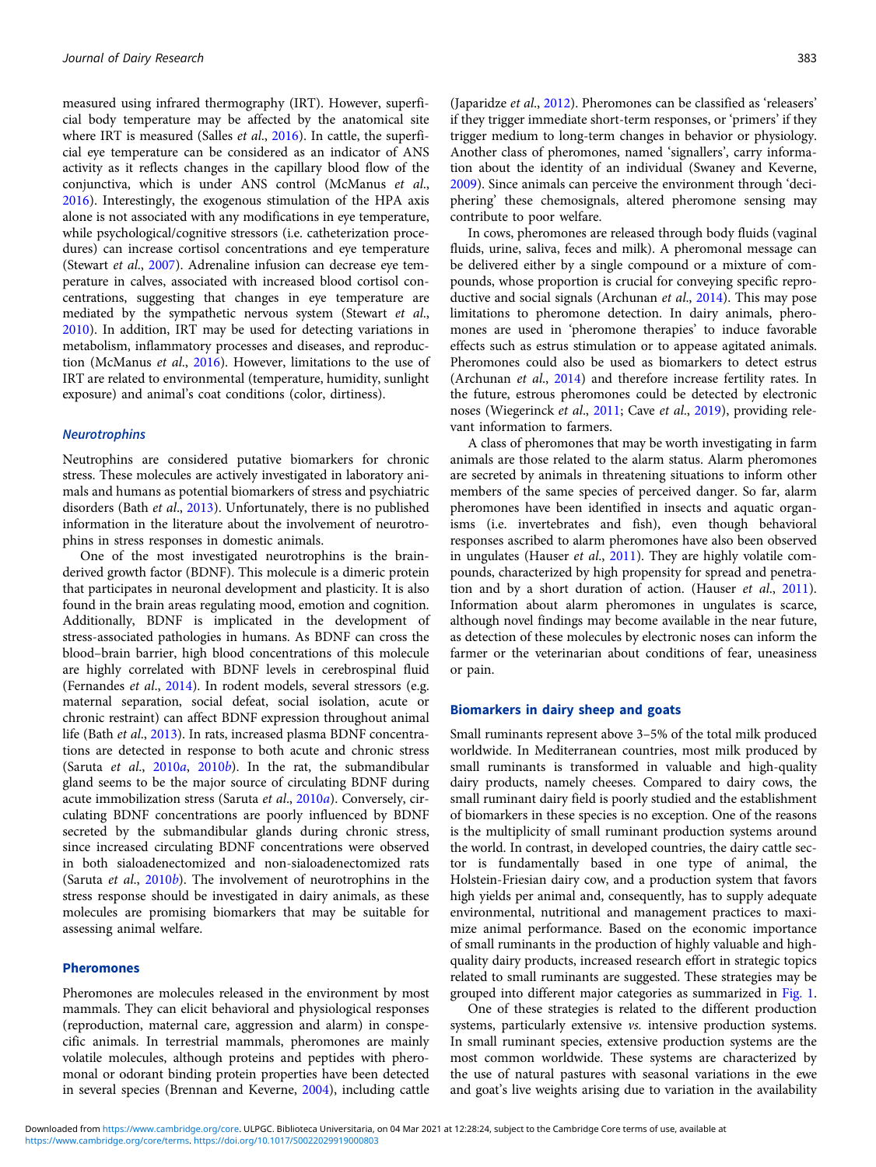measured using infrared thermography (IRT). However, superficial body temperature may be affected by the anatomical site where IRT is measured (Salles *et al.*, [2016](#page-8-0)). In cattle, the superficial eye temperature can be considered as an indicator of ANS activity as it reflects changes in the capillary blood flow of the conjunctiva, which is under ANS control (McManus et al., [2016\)](#page-7-0). Interestingly, the exogenous stimulation of the HPA axis alone is not associated with any modifications in eye temperature, while psychological/cognitive stressors (i.e. catheterization procedures) can increase cortisol concentrations and eye temperature (Stewart et al., [2007](#page-8-0)). Adrenaline infusion can decrease eye temperature in calves, associated with increased blood cortisol concentrations, suggesting that changes in eye temperature are mediated by the sympathetic nervous system (Stewart et al., [2010\)](#page-8-0). In addition, IRT may be used for detecting variations in metabolism, inflammatory processes and diseases, and reproduction (McManus et al., [2016\)](#page-7-0). However, limitations to the use of IRT are related to environmental (temperature, humidity, sunlight exposure) and animal's coat conditions (color, dirtiness).

### **Neurotrophins**

Neutrophins are considered putative biomarkers for chronic stress. These molecules are actively investigated in laboratory animals and humans as potential biomarkers of stress and psychiatric disorders (Bath et al., [2013](#page-6-0)). Unfortunately, there is no published information in the literature about the involvement of neurotrophins in stress responses in domestic animals.

One of the most investigated neurotrophins is the brainderived growth factor (BDNF). This molecule is a dimeric protein that participates in neuronal development and plasticity. It is also found in the brain areas regulating mood, emotion and cognition. Additionally, BDNF is implicated in the development of stress-associated pathologies in humans. As BDNF can cross the blood–brain barrier, high blood concentrations of this molecule are highly correlated with BDNF levels in cerebrospinal fluid (Fernandes et al., [2014\)](#page-6-0). In rodent models, several stressors (e.g. maternal separation, social defeat, social isolation, acute or chronic restraint) can affect BDNF expression throughout animal life (Bath et al., [2013\)](#page-6-0). In rats, increased plasma BDNF concentrations are detected in response to both acute and chronic stress (Saruta et al.,  $2010a$  $2010a$ ,  $2010b$ ). In the rat, the submandibular gland seems to be the major source of circulating BDNF during acute immobilization stress (Saruta et al., [2010](#page-8-0)a). Conversely, circulating BDNF concentrations are poorly influenced by BDNF secreted by the submandibular glands during chronic stress, since increased circulating BDNF concentrations were observed in both sialoadenectomized and non-sialoadenectomized rats (Saruta *et al.*,  $2010b$  $2010b$ ). The involvement of neurotrophins in the stress response should be investigated in dairy animals, as these molecules are promising biomarkers that may be suitable for assessing animal welfare.

## Pheromones

Pheromones are molecules released in the environment by most mammals. They can elicit behavioral and physiological responses (reproduction, maternal care, aggression and alarm) in conspecific animals. In terrestrial mammals, pheromones are mainly volatile molecules, although proteins and peptides with pheromonal or odorant binding protein properties have been detected in several species (Brennan and Keverne, [2004\)](#page-6-0), including cattle

Another class of pheromones, named 'signallers', carry information about the identity of an individual (Swaney and Keverne, [2009](#page-8-0)). Since animals can perceive the environment through 'deciphering' these chemosignals, altered pheromone sensing may contribute to poor welfare.

In cows, pheromones are released through body fluids (vaginal fluids, urine, saliva, feces and milk). A pheromonal message can be delivered either by a single compound or a mixture of compounds, whose proportion is crucial for conveying specific reproductive and social signals (Archunan et al., [2014\)](#page-6-0). This may pose limitations to pheromone detection. In dairy animals, pheromones are used in 'pheromone therapies' to induce favorable effects such as estrus stimulation or to appease agitated animals. Pheromones could also be used as biomarkers to detect estrus (Archunan et al., [2014](#page-6-0)) and therefore increase fertility rates. In the future, estrous pheromones could be detected by electronic noses (Wiegerinck et al., [2011;](#page-8-0) Cave et al., [2019\)](#page-6-0), providing relevant information to farmers.

A class of pheromones that may be worth investigating in farm animals are those related to the alarm status. Alarm pheromones are secreted by animals in threatening situations to inform other members of the same species of perceived danger. So far, alarm pheromones have been identified in insects and aquatic organisms (i.e. invertebrates and fish), even though behavioral responses ascribed to alarm pheromones have also been observed in ungulates (Hauser et al., [2011\)](#page-7-0). They are highly volatile compounds, characterized by high propensity for spread and penetration and by a short duration of action. (Hauser et al., [2011](#page-7-0)). Information about alarm pheromones in ungulates is scarce, although novel findings may become available in the near future, as detection of these molecules by electronic noses can inform the farmer or the veterinarian about conditions of fear, uneasiness or pain.

#### Biomarkers in dairy sheep and goats

Small ruminants represent above 3–5% of the total milk produced worldwide. In Mediterranean countries, most milk produced by small ruminants is transformed in valuable and high-quality dairy products, namely cheeses. Compared to dairy cows, the small ruminant dairy field is poorly studied and the establishment of biomarkers in these species is no exception. One of the reasons is the multiplicity of small ruminant production systems around the world. In contrast, in developed countries, the dairy cattle sector is fundamentally based in one type of animal, the Holstein-Friesian dairy cow, and a production system that favors high yields per animal and, consequently, has to supply adequate environmental, nutritional and management practices to maximize animal performance. Based on the economic importance of small ruminants in the production of highly valuable and highquality dairy products, increased research effort in strategic topics related to small ruminants are suggested. These strategies may be grouped into different major categories as summarized in [Fig. 1](#page-5-0).

One of these strategies is related to the different production systems, particularly extensive vs. intensive production systems. In small ruminant species, extensive production systems are the most common worldwide. These systems are characterized by the use of natural pastures with seasonal variations in the ewe and goat's live weights arising due to variation in the availability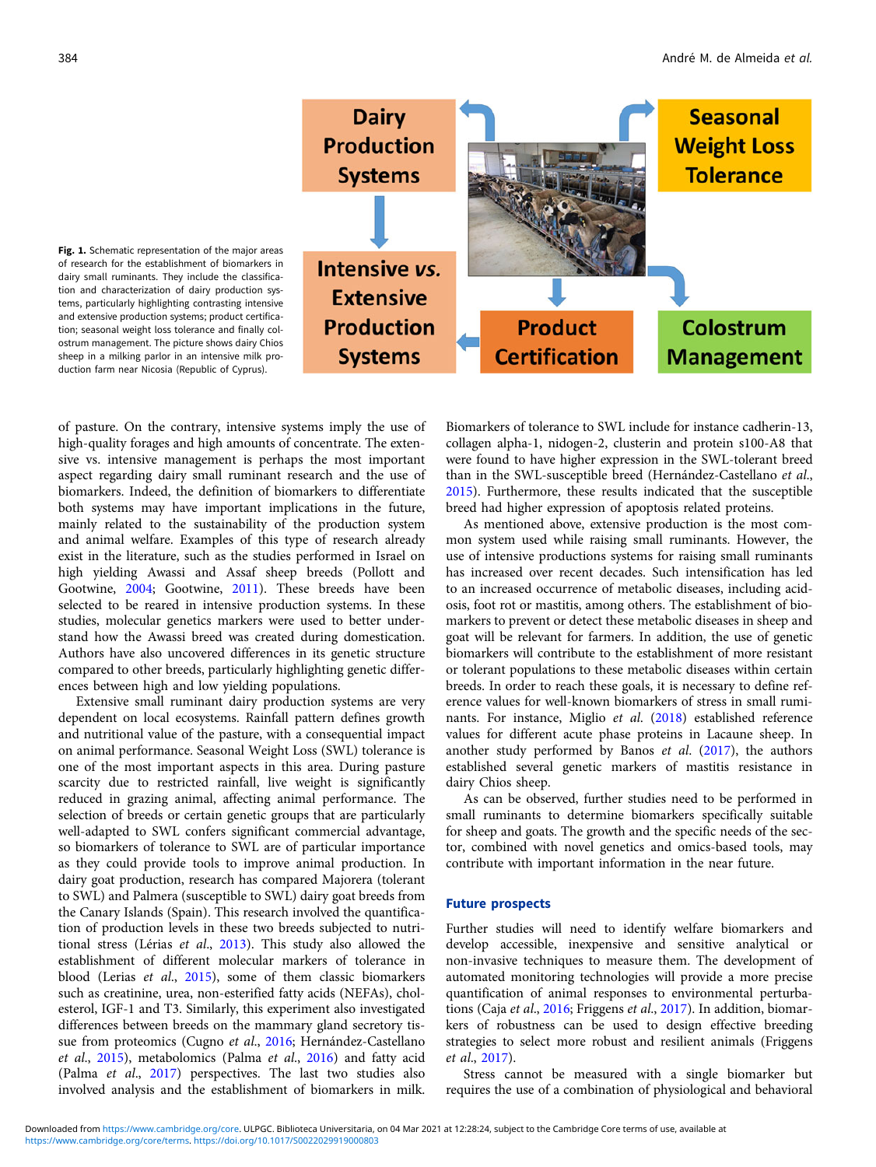

<span id="page-5-0"></span>Fig. 1. Schematic representation of the major areas of research for the establishment of biomarkers in dairy small ruminants. They include the classification and characterization of dairy production systems, particularly highlighting contrasting intensive and extensive production systems; product certification; seasonal weight loss tolerance and finally colostrum management. The picture shows dairy Chios sheep in a milking parlor in an intensive milk production farm near Nicosia (Republic of Cyprus).

of pasture. On the contrary, intensive systems imply the use of high-quality forages and high amounts of concentrate. The extensive vs. intensive management is perhaps the most important aspect regarding dairy small ruminant research and the use of biomarkers. Indeed, the definition of biomarkers to differentiate both systems may have important implications in the future, mainly related to the sustainability of the production system and animal welfare. Examples of this type of research already exist in the literature, such as the studies performed in Israel on high yielding Awassi and Assaf sheep breeds (Pollott and Gootwine, [2004;](#page-7-0) Gootwine, [2011](#page-7-0)). These breeds have been selected to be reared in intensive production systems. In these studies, molecular genetics markers were used to better understand how the Awassi breed was created during domestication. Authors have also uncovered differences in its genetic structure compared to other breeds, particularly highlighting genetic differences between high and low yielding populations.

Extensive small ruminant dairy production systems are very dependent on local ecosystems. Rainfall pattern defines growth and nutritional value of the pasture, with a consequential impact on animal performance. Seasonal Weight Loss (SWL) tolerance is one of the most important aspects in this area. During pasture scarcity due to restricted rainfall, live weight is significantly reduced in grazing animal, affecting animal performance. The selection of breeds or certain genetic groups that are particularly well-adapted to SWL confers significant commercial advantage, so biomarkers of tolerance to SWL are of particular importance as they could provide tools to improve animal production. In dairy goat production, research has compared Majorera (tolerant to SWL) and Palmera (susceptible to SWL) dairy goat breeds from the Canary Islands (Spain). This research involved the quantification of production levels in these two breeds subjected to nutritional stress (Lérias et al., [2013\)](#page-7-0). This study also allowed the establishment of different molecular markers of tolerance in blood (Lerias et al., [2015\)](#page-7-0), some of them classic biomarkers such as creatinine, urea, non-esterified fatty acids (NEFAs), cholesterol, IGF-1 and T3. Similarly, this experiment also investigated differences between breeds on the mammary gland secretory tis-sue from proteomics (Cugno et al., [2016;](#page-6-0) Hernández-Castellano et al., [2015](#page-7-0)), metabolomics (Palma et al., [2016\)](#page-7-0) and fatty acid (Palma et al., [2017](#page-7-0)) perspectives. The last two studies also involved analysis and the establishment of biomarkers in milk.

Biomarkers of tolerance to SWL include for instance cadherin-13, collagen alpha-1, nidogen-2, clusterin and protein s100-A8 that were found to have higher expression in the SWL-tolerant breed than in the SWL-susceptible breed (Hernández-Castellano et al., [2015\)](#page-7-0). Furthermore, these results indicated that the susceptible breed had higher expression of apoptosis related proteins.

As mentioned above, extensive production is the most common system used while raising small ruminants. However, the use of intensive productions systems for raising small ruminants has increased over recent decades. Such intensification has led to an increased occurrence of metabolic diseases, including acidosis, foot rot or mastitis, among others. The establishment of biomarkers to prevent or detect these metabolic diseases in sheep and goat will be relevant for farmers. In addition, the use of genetic biomarkers will contribute to the establishment of more resistant or tolerant populations to these metabolic diseases within certain breeds. In order to reach these goals, it is necessary to define reference values for well-known biomarkers of stress in small ruminants. For instance, Miglio et al. ([2018\)](#page-7-0) established reference values for different acute phase proteins in Lacaune sheep. In another study performed by Banos et al. ([2017\)](#page-6-0), the authors established several genetic markers of mastitis resistance in dairy Chios sheep.

As can be observed, further studies need to be performed in small ruminants to determine biomarkers specifically suitable for sheep and goats. The growth and the specific needs of the sector, combined with novel genetics and omics-based tools, may contribute with important information in the near future.

## Future prospects

Further studies will need to identify welfare biomarkers and develop accessible, inexpensive and sensitive analytical or non-invasive techniques to measure them. The development of automated monitoring technologies will provide a more precise quantification of animal responses to environmental perturbations (Caja et al., [2016;](#page-6-0) Friggens et al., [2017](#page-6-0)). In addition, biomarkers of robustness can be used to design effective breeding strategies to select more robust and resilient animals (Friggens et al., [2017\)](#page-6-0).

Stress cannot be measured with a single biomarker but requires the use of a combination of physiological and behavioral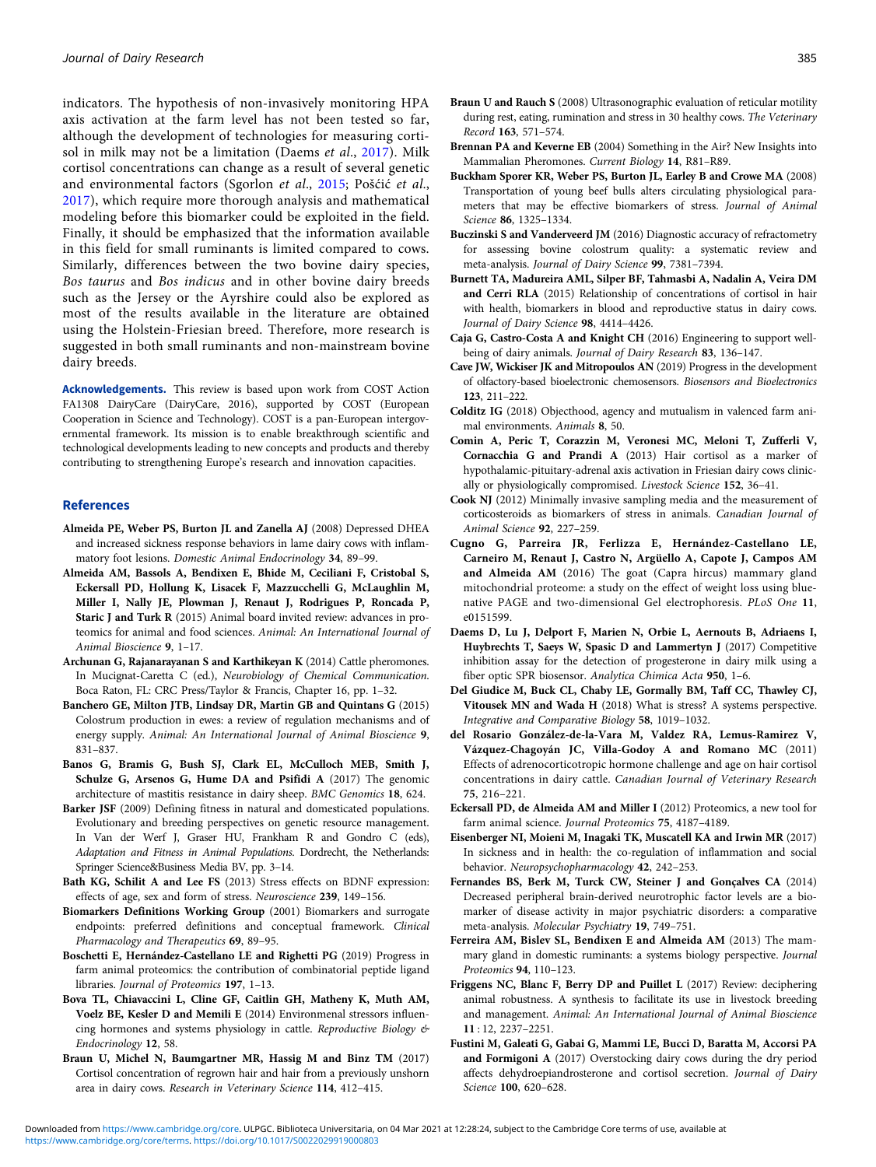<span id="page-6-0"></span>indicators. The hypothesis of non-invasively monitoring HPA axis activation at the farm level has not been tested so far, although the development of technologies for measuring cortisol in milk may not be a limitation (Daems et al., 2017). Milk cortisol concentrations can change as a result of several genetic and environmental factors (Sgorlon et al., [2015](#page-8-0); Pošćić et al., [2017](#page-7-0)), which require more thorough analysis and mathematical modeling before this biomarker could be exploited in the field. Finally, it should be emphasized that the information available in this field for small ruminants is limited compared to cows. Similarly, differences between the two bovine dairy species, Bos taurus and Bos indicus and in other bovine dairy breeds such as the Jersey or the Ayrshire could also be explored as most of the results available in the literature are obtained using the Holstein-Friesian breed. Therefore, more research is suggested in both small ruminants and non-mainstream bovine dairy breeds.

Acknowledgements. This review is based upon work from COST Action FA1308 DairyCare (DairyCare, 2016), supported by COST (European Cooperation in Science and Technology). COST is a pan-European intergovernmental framework. Its mission is to enable breakthrough scientific and technological developments leading to new concepts and products and thereby contributing to strengthening Europe's research and innovation capacities.

#### References

- Almeida PE, Weber PS, Burton JL and Zanella AJ (2008) Depressed DHEA and increased sickness response behaviors in lame dairy cows with inflammatory foot lesions. Domestic Animal Endocrinology 34, 89–99.
- Almeida AM, Bassols A, Bendixen E, Bhide M, Ceciliani F, Cristobal S, Eckersall PD, Hollung K, Lisacek F, Mazzucchelli G, McLaughlin M, Miller I, Nally JE, Plowman J, Renaut J, Rodrigues P, Roncada P, Staric J and Turk R (2015) Animal board invited review: advances in proteomics for animal and food sciences. Animal: An International Journal of Animal Bioscience 9, 1–17.
- Archunan G, Rajanarayanan S and Karthikeyan K (2014) Cattle pheromones. In Mucignat-Caretta C (ed.), Neurobiology of Chemical Communication. Boca Raton, FL: CRC Press/Taylor & Francis, Chapter 16, pp. 1–32.
- Banchero GE, Milton JTB, Lindsay DR, Martin GB and Quintans G (2015) Colostrum production in ewes: a review of regulation mechanisms and of energy supply. Animal: An International Journal of Animal Bioscience 9, 831–837.
- Banos G, Bramis G, Bush SJ, Clark EL, McCulloch MEB, Smith J, Schulze G, Arsenos G, Hume DA and Psifidi A (2017) The genomic architecture of mastitis resistance in dairy sheep. BMC Genomics 18, 624.
- Barker JSF (2009) Defining fitness in natural and domesticated populations. Evolutionary and breeding perspectives on genetic resource management. In Van der Werf J, Graser HU, Frankham R and Gondro C (eds), Adaptation and Fitness in Animal Populations. Dordrecht, the Netherlands: Springer Science&Business Media BV, pp. 3–14.
- Bath KG, Schilit A and Lee FS (2013) Stress effects on BDNF expression: effects of age, sex and form of stress. Neuroscience 239, 149–156.
- Biomarkers Definitions Working Group (2001) Biomarkers and surrogate endpoints: preferred definitions and conceptual framework. Clinical Pharmacology and Therapeutics 69, 89–95.
- Boschetti E, Hernández-Castellano LE and Righetti PG (2019) Progress in farm animal proteomics: the contribution of combinatorial peptide ligand libraries. *Journal of Proteomics* 197, 1-13.
- Bova TL, Chiavaccini L, Cline GF, Caitlin GH, Matheny K, Muth AM, Voelz BE, Kesler D and Memili E (2014) Environmenal stressors influencing hormones and systems physiology in cattle. Reproductive Biology & Endocrinology 12, 58.
- Braun U, Michel N, Baumgartner MR, Hassig M and Binz TM (2017) Cortisol concentration of regrown hair and hair from a previously unshorn area in dairy cows. Research in Veterinary Science 114, 412–415.
- Record 163, 571–574. Brennan PA and Keverne EB (2004) Something in the Air? New Insights into
- Mammalian Pheromones. Current Biology 14, R81–R89. Buckham Sporer KR, Weber PS, Burton JL, Earley B and Crowe MA (2008) Transportation of young beef bulls alters circulating physiological parameters that may be effective biomarkers of stress. Journal of Animal Science 86, 1325–1334.
- Buczinski S and Vanderveerd JM (2016) Diagnostic accuracy of refractometry for assessing bovine colostrum quality: a systematic review and meta-analysis. Journal of Dairy Science 99, 7381–7394.
- Burnett TA, Madureira AML, Silper BF, Tahmasbi A, Nadalin A, Veira DM and Cerri RLA (2015) Relationship of concentrations of cortisol in hair with health, biomarkers in blood and reproductive status in dairy cows. Journal of Dairy Science 98, 4414–4426.
- Caja G, Castro-Costa A and Knight CH (2016) Engineering to support wellbeing of dairy animals. Journal of Dairy Research 83, 136–147.
- Cave JW, Wickiser JK and Mitropoulos AN (2019) Progress in the development of olfactory-based bioelectronic chemosensors. Biosensors and Bioelectronics 123, 211–222.
- Colditz IG (2018) Objecthood, agency and mutualism in valenced farm animal environments. Animals 8, 50.
- Comin A, Peric T, Corazzin M, Veronesi MC, Meloni T, Zufferli V, Cornacchia G and Prandi A (2013) Hair cortisol as a marker of hypothalamic-pituitary-adrenal axis activation in Friesian dairy cows clinically or physiologically compromised. Livestock Science 152, 36–41.
- Cook NJ (2012) Minimally invasive sampling media and the measurement of corticosteroids as biomarkers of stress in animals. Canadian Journal of Animal Science 92, 227-259.
- Cugno G, Parreira JR, Ferlizza E, Hernández-Castellano LE, Carneiro M, Renaut J, Castro N, Argüello A, Capote J, Campos AM and Almeida AM (2016) The goat (Capra hircus) mammary gland mitochondrial proteome: a study on the effect of weight loss using bluenative PAGE and two-dimensional Gel electrophoresis. PLoS One 11, e0151599.
- Daems D, Lu J, Delport F, Marien N, Orbie L, Aernouts B, Adriaens I, Huybrechts T, Saeys W, Spasic D and Lammertyn J (2017) Competitive inhibition assay for the detection of progesterone in dairy milk using a fiber optic SPR biosensor. Analytica Chimica Acta 950, 1–6.
- Del Giudice M, Buck CL, Chaby LE, Gormally BM, Taff CC, Thawley CJ, Vitousek MN and Wada H (2018) What is stress? A systems perspective. Integrative and Comparative Biology 58, 1019–1032.
- del Rosario González-de-la-Vara M, Valdez RA, Lemus-Ramirez V, Vázquez-Chagoyán JC, Villa-Godoy A and Romano MC (2011) Effects of adrenocorticotropic hormone challenge and age on hair cortisol concentrations in dairy cattle. Canadian Journal of Veterinary Research 75, 216–221.
- Eckersall PD, de Almeida AM and Miller I (2012) Proteomics, a new tool for farm animal science. Journal Proteomics 75, 4187–4189.
- Eisenberger NI, Moieni M, Inagaki TK, Muscatell KA and Irwin MR (2017) In sickness and in health: the co-regulation of inflammation and social behavior. Neuropsychopharmacology 42, 242–253.
- Fernandes BS, Berk M, Turck CW, Steiner J and Gonçalves CA (2014) Decreased peripheral brain-derived neurotrophic factor levels are a biomarker of disease activity in major psychiatric disorders: a comparative meta-analysis. Molecular Psychiatry 19, 749–751.
- Ferreira AM, Bislev SL, Bendixen E and Almeida AM (2013) The mammary gland in domestic ruminants: a systems biology perspective. Journal Proteomics 94, 110–123.
- Friggens NC, Blanc F, Berry DP and Puillet L (2017) Review: deciphering animal robustness. A synthesis to facilitate its use in livestock breeding and management. Animal: An International Journal of Animal Bioscience 11 : 12, 2237–2251.
- Fustini M, Galeati G, Gabai G, Mammi LE, Bucci D, Baratta M, Accorsi PA and Formigoni A (2017) Overstocking dairy cows during the dry period affects dehydroepiandrosterone and cortisol secretion. Journal of Dairy Science 100, 620–628.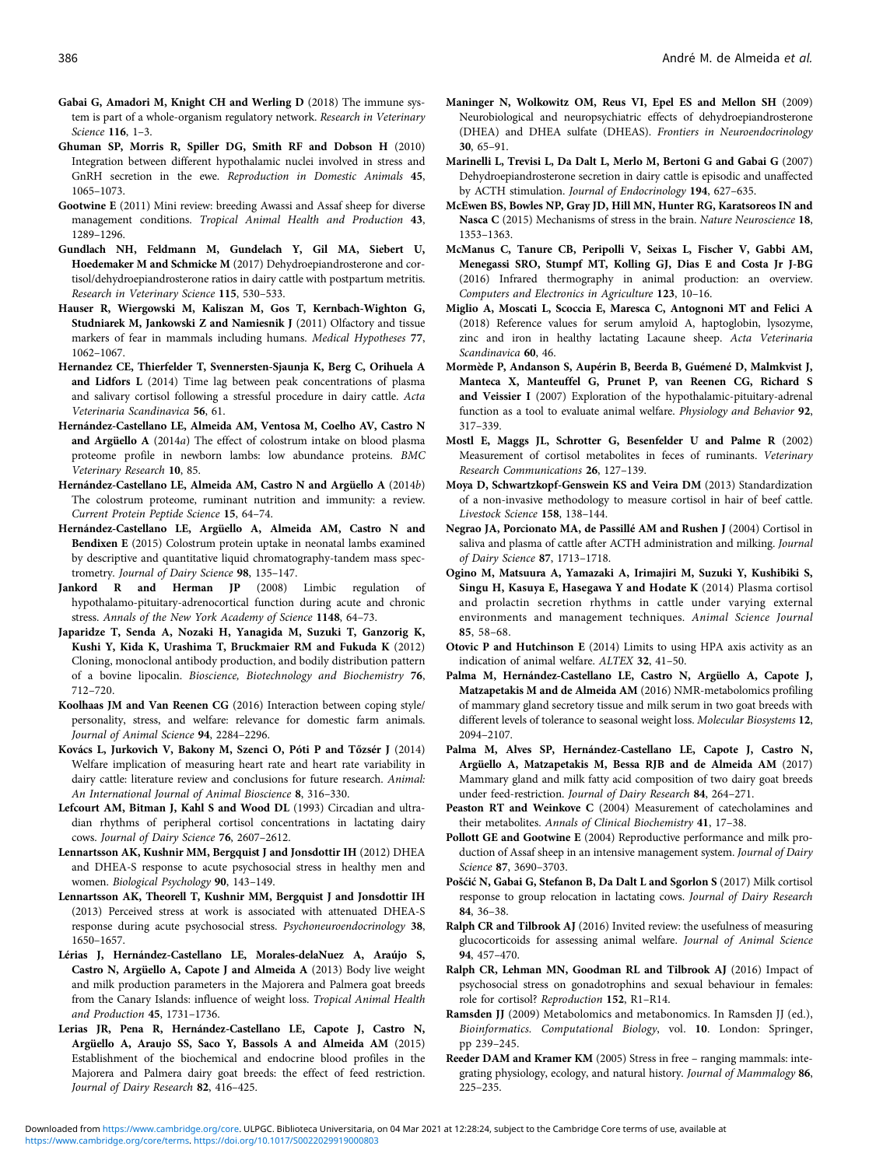- <span id="page-7-0"></span>Gabai G, Amadori M, Knight CH and Werling D (2018) The immune system is part of a whole-organism regulatory network. Research in Veterinary Science 116, 1–3.
- Ghuman SP, Morris R, Spiller DG, Smith RF and Dobson H (2010) Integration between different hypothalamic nuclei involved in stress and GnRH secretion in the ewe. Reproduction in Domestic Animals 45, 1065–1073.
- Gootwine E (2011) Mini review: breeding Awassi and Assaf sheep for diverse management conditions. Tropical Animal Health and Production 43, 1289–1296.
- Gundlach NH, Feldmann M, Gundelach Y, Gil MA, Siebert U, Hoedemaker M and Schmicke M (2017) Dehydroepiandrosterone and cortisol/dehydroepiandrosterone ratios in dairy cattle with postpartum metritis. Research in Veterinary Science 115, 530–533.
- Hauser R, Wiergowski M, Kaliszan M, Gos T, Kernbach-Wighton G, Studniarek M, Jankowski Z and Namiesnik J (2011) Olfactory and tissue markers of fear in mammals including humans. Medical Hypotheses 77, 1062–1067.
- Hernandez CE, Thierfelder T, Svennersten-Sjaunja K, Berg C, Orihuela A and Lidfors L (2014) Time lag between peak concentrations of plasma and salivary cortisol following a stressful procedure in dairy cattle. Acta Veterinaria Scandinavica 56, 61.
- Hernández-Castellano LE, Almeida AM, Ventosa M, Coelho AV, Castro N and Argüello A (2014a) The effect of colostrum intake on blood plasma proteome profile in newborn lambs: low abundance proteins. BMC Veterinary Research 10, 85.
- Hernández-Castellano LE, Almeida AM, Castro N and Argüello A (2014b) The colostrum proteome, ruminant nutrition and immunity: a review. Current Protein Peptide Science 15, 64–74.
- Hernández-Castellano LE, Argüello A, Almeida AM, Castro N and Bendixen E (2015) Colostrum protein uptake in neonatal lambs examined by descriptive and quantitative liquid chromatography-tandem mass spectrometry. Journal of Dairy Science 98, 135–147.
- Jankord R and Herman JP (2008) Limbic regulation of hypothalamo-pituitary-adrenocortical function during acute and chronic stress. Annals of the New York Academy of Science 1148, 64–73.
- Japaridze T, Senda A, Nozaki H, Yanagida M, Suzuki T, Ganzorig K, Kushi Y, Kida K, Urashima T, Bruckmaier RM and Fukuda K (2012) Cloning, monoclonal antibody production, and bodily distribution pattern of a bovine lipocalin. Bioscience, Biotechnology and Biochemistry 76, 712–720.
- Koolhaas JM and Van Reenen CG (2016) Interaction between coping style/ personality, stress, and welfare: relevance for domestic farm animals. Journal of Animal Science 94, 2284–2296.
- Kovács L, Jurkovich V, Bakony M, Szenci O, Póti P and Tőzsér J (2014) Welfare implication of measuring heart rate and heart rate variability in dairy cattle: literature review and conclusions for future research. Animal: An International Journal of Animal Bioscience 8, 316–330.
- Lefcourt AM, Bitman J, Kahl S and Wood DL (1993) Circadian and ultradian rhythms of peripheral cortisol concentrations in lactating dairy cows. Journal of Dairy Science 76, 2607–2612.
- Lennartsson AK, Kushnir MM, Bergquist J and Jonsdottir IH (2012) DHEA and DHEA-S response to acute psychosocial stress in healthy men and women. Biological Psychology 90, 143–149.
- Lennartsson AK, Theorell T, Kushnir MM, Bergquist J and Jonsdottir IH (2013) Perceived stress at work is associated with attenuated DHEA-S response during acute psychosocial stress. Psychoneuroendocrinology 38, 1650–1657.
- Lérias J, Hernández-Castellano LE, Morales-delaNuez A, Araújo S, Castro N, Argüello A, Capote J and Almeida A (2013) Body live weight and milk production parameters in the Majorera and Palmera goat breeds from the Canary Islands: influence of weight loss. Tropical Animal Health and Production 45, 1731–1736.
- Lerias JR, Pena R, Hernández-Castellano LE, Capote J, Castro N, Argüello A, Araujo SS, Saco Y, Bassols A and Almeida AM (2015) Establishment of the biochemical and endocrine blood profiles in the Majorera and Palmera dairy goat breeds: the effect of feed restriction. Journal of Dairy Research 82, 416–425.
- Maninger N, Wolkowitz OM, Reus VI, Epel ES and Mellon SH (2009) Neurobiological and neuropsychiatric effects of dehydroepiandrosterone (DHEA) and DHEA sulfate (DHEAS). Frontiers in Neuroendocrinology 30, 65–91.
- Marinelli L, Trevisi L, Da Dalt L, Merlo M, Bertoni G and Gabai G (2007) Dehydroepiandrosterone secretion in dairy cattle is episodic and unaffected by ACTH stimulation. Journal of Endocrinology 194, 627–635.
- McEwen BS, Bowles NP, Gray JD, Hill MN, Hunter RG, Karatsoreos IN and Nasca C (2015) Mechanisms of stress in the brain. Nature Neuroscience 18, 1353–1363.
- McManus C, Tanure CB, Peripolli V, Seixas L, Fischer V, Gabbi AM, Menegassi SRO, Stumpf MT, Kolling GJ, Dias E and Costa Jr J-BG (2016) Infrared thermography in animal production: an overview. Computers and Electronics in Agriculture 123, 10–16.
- Miglio A, Moscati L, Scoccia E, Maresca C, Antognoni MT and Felici A (2018) Reference values for serum amyloid A, haptoglobin, lysozyme, zinc and iron in healthy lactating Lacaune sheep. Acta Veterinaria Scandinavica 60, 46.
- Mormède P, Andanson S, Aupérin B, Beerda B, Guémené D, Malmkvist J, Manteca X, Manteuffel G, Prunet P, van Reenen CG, Richard S and Veissier I (2007) Exploration of the hypothalamic-pituitary-adrenal function as a tool to evaluate animal welfare. Physiology and Behavior 92, 317–339.
- Mostl E, Maggs JL, Schrotter G, Besenfelder U and Palme R (2002) Measurement of cortisol metabolites in feces of ruminants. Veterinary Research Communications 26, 127–139.
- Moya D, Schwartzkopf-Genswein KS and Veira DM (2013) Standardization of a non-invasive methodology to measure cortisol in hair of beef cattle. Livestock Science 158, 138–144.
- Negrao JA, Porcionato MA, de Passillé AM and Rushen J (2004) Cortisol in saliva and plasma of cattle after ACTH administration and milking. Journal of Dairy Science 87, 1713–1718.
- Ogino M, Matsuura A, Yamazaki A, Irimajiri M, Suzuki Y, Kushibiki S, Singu H, Kasuya E, Hasegawa Y and Hodate K (2014) Plasma cortisol and prolactin secretion rhythms in cattle under varying external environments and management techniques. Animal Science Journal 85, 58–68.
- Otovic P and Hutchinson E (2014) Limits to using HPA axis activity as an indication of animal welfare. ALTEX 32, 41–50.
- Palma M, Hernández-Castellano LE, Castro N, Argüello A, Capote J, Matzapetakis M and de Almeida AM (2016) NMR-metabolomics profiling of mammary gland secretory tissue and milk serum in two goat breeds with different levels of tolerance to seasonal weight loss. Molecular Biosystems 12, 2094–2107.
- Palma M, Alves SP, Hernández-Castellano LE, Capote J, Castro N, Argüello A, Matzapetakis M, Bessa RJB and de Almeida AM (2017) Mammary gland and milk fatty acid composition of two dairy goat breeds under feed-restriction. Journal of Dairy Research 84, 264–271.
- Peaston RT and Weinkove C (2004) Measurement of catecholamines and their metabolites. Annals of Clinical Biochemistry 41, 17–38.
- Pollott GE and Gootwine E (2004) Reproductive performance and milk production of Assaf sheep in an intensive management system. Journal of Dairy Science 87, 3690–3703.
- Pošćić N, Gabai G, Stefanon B, Da Dalt L and Sgorlon S (2017) Milk cortisol response to group relocation in lactating cows. Journal of Dairy Research 84, 36–38.
- Ralph CR and Tilbrook AJ (2016) Invited review: the usefulness of measuring glucocorticoids for assessing animal welfare. Journal of Animal Science 94, 457–470.
- Ralph CR, Lehman MN, Goodman RL and Tilbrook AJ (2016) Impact of psychosocial stress on gonadotrophins and sexual behaviour in females: role for cortisol? Reproduction 152, R1–R14.
- Ramsden JJ (2009) Metabolomics and metabonomics. In Ramsden JJ (ed.), Bioinformatics. Computational Biology, vol. 10. London: Springer, pp 239–245.
- Reeder DAM and Kramer KM (2005) Stress in free ranging mammals: integrating physiology, ecology, and natural history. Journal of Mammalogy 86, 225–235.